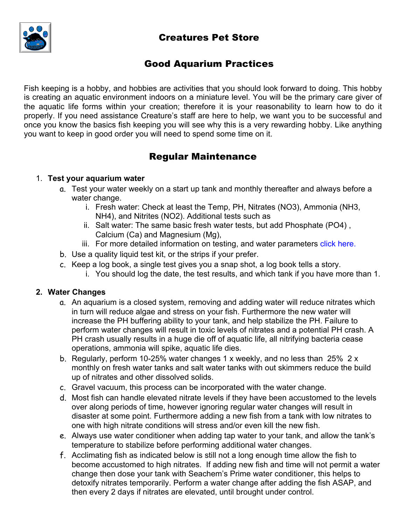# Creatures Pet Store



## Good Aquarium Practices

Fish keeping is a hobby, and hobbies are activities that you should look forward to doing. This hobby is creating an aquatic environment indoors on a miniature level. You will be the primary care giver of the aquatic life forms within your creation; therefore it is your reasonability to learn how to do it properly. If you need assistance Creature's staff are here to help, we want you to be successful and once you know the basics fish keeping you will see why this is a very rewarding hobby. Like anything you want to keep in good order you will need to spend some time on it.

# Regular Maintenance

### 1. **Test your aquarium water**

- a. Test your water weekly on a start up tank and monthly thereafter and always before a water change.
	- i. Fresh water: Check at least the Temp, PH, Nitrates (NO3), Ammonia (NH3, NH4), and Nitrites (NO2). Additional tests such as
	- ii. Salt water: The same basic fresh water tests, but add Phosphate (PO4) , Calcium (Ca) and Magnesium (Mg),
	- iii. For more detailed information on testing, and water parameters click here.
- b. Use a quality liquid test kit, or the strips if your prefer.
- c. Keep a log book, a single test gives you a snap shot, a log book tells a story.
	- i. You should log the date, the test results, and which tank if you have more than 1.

### **2. Water Changes**

- a. An aquarium is a closed system, removing and adding water will reduce nitrates which in turn will reduce algae and stress on your fish. Furthermore the new water will increase the PH buffering ability to your tank, and help stabilize the PH. Failure to perform water changes will result in toxic levels of nitrates and a potential PH crash. A PH crash usually results in a huge die off of aquatic life, all nitrifying bacteria cease operations, ammonia will spike, aquatic life dies.
- b. Regularly, perform 10-25% water changes 1 x weekly, and no less than 25% 2 x monthly on fresh water tanks and salt water tanks with out skimmers reduce the build up of nitrates and other dissolved solids.
- c. Gravel vacuum, this process can be incorporated with the water change.
- d. Most fish can handle elevated nitrate levels if they have been accustomed to the levels over along periods of time, however ignoring regular water changes will result in disaster at some point. Furthermore adding a new fish from a tank with low nitrates to one with high nitrate conditions will stress and/or even kill the new fish.
- e. Always use water conditioner when adding tap water to your tank, and allow the tank's temperature to stabilize before performing additional water changes.
- f. Acclimating fish as indicated below is still not a long enough time allow the fish to become accustomed to high nitrates. If adding new fish and time will not permit a water change then dose your tank with Seachem's Prime water conditioner, this helps to detoxify nitrates temporarily. Perform a water change after adding the fish ASAP, and then every 2 days if nitrates are elevated, until brought under control.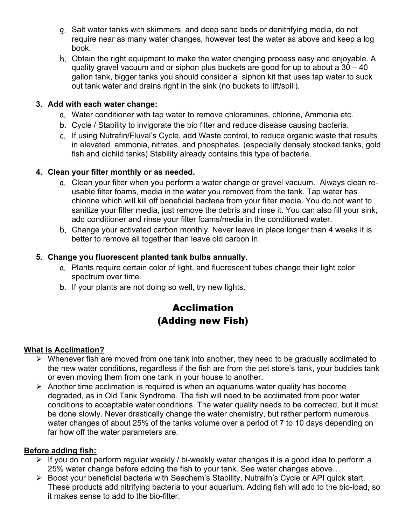- g. Salt water tanks with skimmers, and deep sand beds or denitrifying media, do not require near as many water changes, however test the water as above and keep a log book.
- h. Obtain the right equipment to make the water changing process easy and enjoyable. A quality gravel vacuum and or siphon plus buckets are good for up to about a 30 – 40 gallon tank, bigger tanks you should consider a siphon kit that uses tap water to suck out tank water and drains right in the sink (no buckets to lift/spill).

#### **3. Add with each water change:**

- a. Water conditioner with tap water to remove chloramines, chlorine, Ammonia etc.
- b. Cycle / Stability to invigorate the bio filter and reduce disease causing bacteria.
- c. If using Nutrafin/Fluval's Cycle, add Waste control, to reduce organic waste that results in elevated ammonia, nitrates, and phosphates. (especially densely stocked tanks, gold fish and cichlid tanks) Stability already contains this type of bacteria.

### **4. Clean your filter monthly or as needed.**

- a. Clean your filter when you perform a water change or gravel vacuum. Always clean reusable filter foams, media in the water you removed from the tank. Tap water has chlorine which will kill off beneficial bacteria from your filter media. You do not want to sanitize your filter media, just remove the debris and rinse it. You can also fill your sink, add conditioner and rinse your filter foams/media in the conditioned water.
- b. Change your activated carbon monthly. Never leave in place longer than 4 weeks it is better to remove all together than leave old carbon in.

#### **5. Change you fluorescent planted tank bulbs annually.**

- a. Plants require certain color of light, and fluorescent tubes change their light color spectrum over time.
- b. If your plants are not doing so well, try new lights.

# Acclimation (Adding new Fish)

#### **What is Acclimation?**

- $\triangleright$  Whenever fish are moved from one tank into another, they need to be gradually acclimated to the new water conditions, regardless if the fish are from the pet store's tank, your buddies tank or even moving them from one tank in your house to another.
- $\triangleright$  Another time acclimation is required is when an aquariums water quality has become degraded, as in Old Tank Syndrome. The fish will need to be acclimated from poor water conditions to acceptable water conditions. The water quality needs to be corrected, but it must be done slowly. Never drastically change the water chemistry, but rather perform numerous water changes of about 25% of the tanks volume over a period of 7 to 10 days depending on far how off the water parameters are.

### **Before adding fish:**

- $\triangleright$  If you do not perform regular weekly / bi-weekly water changes it is a good idea to perform a 25% water change before adding the fish to your tank. See water changes above…
- ▶ Boost your beneficial bacteria with Seachem's Stability, Nutraifn's Cycle or API quick start. These products add nitrifying bacteria to your aquarium. Adding fish will add to the bio-load, so it makes sense to add to the bio-filter.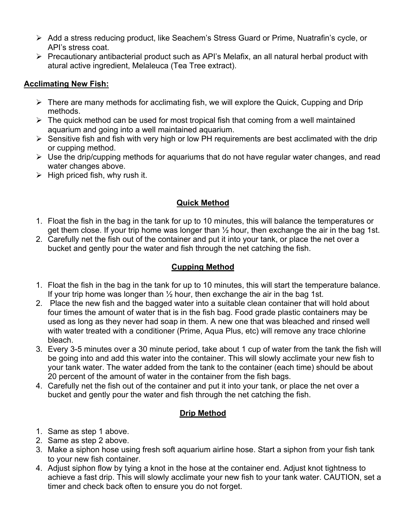- ! Add a stress reducing product, like Seachem's Stress Guard or Prime, Nuatrafin's cycle, or API's stress coat.
- $\triangleright$  Precautionary antibacterial product such as API's Melafix, an all natural herbal product with atural active ingredient, Melaleuca (Tea Tree extract).

### **Acclimating New Fish:**

- $\triangleright$  There are many methods for acclimating fish, we will explore the Quick, Cupping and Drip methods.
- $\triangleright$  The quick method can be used for most tropical fish that coming from a well maintained aquarium and going into a well maintained aquarium.
- $\triangleright$  Sensitive fish and fish with very high or low PH requirements are best acclimated with the drip or cupping method.
- $\triangleright$  Use the drip/cupping methods for aquariums that do not have regular water changes, and read water changes above.
- $\triangleright$  High priced fish, why rush it.

## **Quick Method**

- 1. Float the fish in the bag in the tank for up to 10 minutes, this will balance the temperatures or get them close. If your trip home was longer than ½ hour, then exchange the air in the bag 1st.
- 2. Carefully net the fish out of the container and put it into your tank, or place the net over a bucket and gently pour the water and fish through the net catching the fish.

## **Cupping Method**

- 1. Float the fish in the bag in the tank for up to 10 minutes, this will start the temperature balance. If your trip home was longer than  $\frac{1}{2}$  hour, then exchange the air in the bag 1st.
- 2. Place the new fish and the bagged water into a suitable clean container that will hold about four times the amount of water that is in the fish bag. Food grade plastic containers may be used as long as they never had soap in them. A new one that was bleached and rinsed well with water treated with a conditioner (Prime, Aqua Plus, etc) will remove any trace chlorine bleach.
- 3. Every 3-5 minutes over a 30 minute period, take about 1 cup of water from the tank the fish will be going into and add this water into the container. This will slowly acclimate your new fish to your tank water. The water added from the tank to the container (each time) should be about 20 percent of the amount of water in the container from the fish bags.
- 4. Carefully net the fish out of the container and put it into your tank, or place the net over a bucket and gently pour the water and fish through the net catching the fish.

## **Drip Method**

- 1. Same as step 1 above.
- 2. Same as step 2 above.
- 3. Make a siphon hose using fresh soft aquarium airline hose. Start a siphon from your fish tank to your new fish container.
- 4. Adjust siphon flow by tying a knot in the hose at the container end. Adjust knot tightness to achieve a fast drip. This will slowly acclimate your new fish to your tank water. CAUTION, set a timer and check back often to ensure you do not forget.